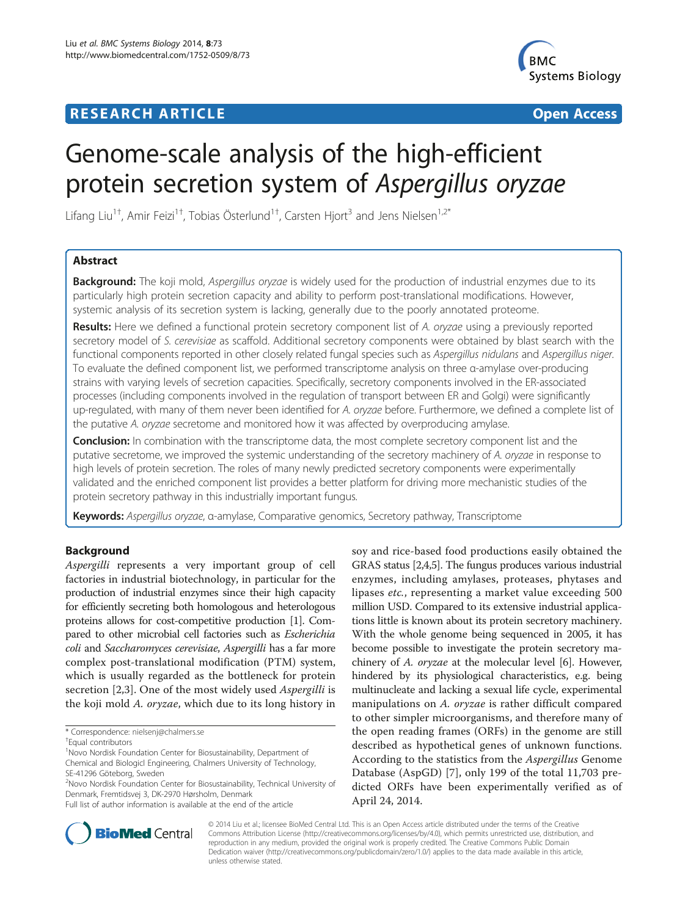## **RESEARCH ARTICLE Example 2014 12:30 THE Open Access**



# Genome-scale analysis of the high-efficient protein secretion system of Aspergillus oryzae

Lifang Liu<sup>1†</sup>, Amir Feizi<sup>1†</sup>, Tobias Österlund<sup>1†</sup>, Carsten Hjort<sup>3</sup> and Jens Nielsen<sup>1,2\*</sup>

## Abstract

Background: The koji mold, Aspergillus oryzae is widely used for the production of industrial enzymes due to its particularly high protein secretion capacity and ability to perform post-translational modifications. However, systemic analysis of its secretion system is lacking, generally due to the poorly annotated proteome.

Results: Here we defined a functional protein secretory component list of A. oryzae using a previously reported secretory model of S. cerevisiae as scaffold. Additional secretory components were obtained by blast search with the functional components reported in other closely related fungal species such as Aspergillus nidulans and Aspergillus niger. To evaluate the defined component list, we performed transcriptome analysis on three α-amylase over-producing strains with varying levels of secretion capacities. Specifically, secretory components involved in the ER-associated processes (including components involved in the regulation of transport between ER and Golgi) were significantly up-regulated, with many of them never been identified for A. oryzae before. Furthermore, we defined a complete list of the putative A. oryzae secretome and monitored how it was affected by overproducing amylase.

**Conclusion:** In combination with the transcriptome data, the most complete secretory component list and the putative secretome, we improved the systemic understanding of the secretory machinery of A. oryzae in response to high levels of protein secretion. The roles of many newly predicted secretory components were experimentally validated and the enriched component list provides a better platform for driving more mechanistic studies of the protein secretory pathway in this industrially important fungus.

Keywords: Aspergillus oryzae, α-amylase, Comparative genomics, Secretory pathway, Transcriptome

## Background

Aspergilli represents a very important group of cell factories in industrial biotechnology, in particular for the production of industrial enzymes since their high capacity for efficiently secreting both homologous and heterologous proteins allows for cost-competitive production [\[1\]](#page-11-0). Compared to other microbial cell factories such as Escherichia coli and Saccharomyces cerevisiae, Aspergilli has a far more complex post-translational modification (PTM) system, which is usually regarded as the bottleneck for protein secretion [\[2](#page-11-0),[3\]](#page-11-0). One of the most widely used Aspergilli is the koji mold A. oryzae, which due to its long history in

soy and rice-based food productions easily obtained the GRAS status [\[2,4,5](#page-11-0)]. The fungus produces various industrial enzymes, including amylases, proteases, phytases and lipases etc., representing a market value exceeding 500 million USD. Compared to its extensive industrial applications little is known about its protein secretory machinery. With the whole genome being sequenced in 2005, it has become possible to investigate the protein secretory machinery of A. oryzae at the molecular level [\[6](#page-11-0)]. However, hindered by its physiological characteristics, e.g. being multinucleate and lacking a sexual life cycle, experimental manipulations on A. oryzae is rather difficult compared to other simpler microorganisms, and therefore many of the open reading frames (ORFs) in the genome are still described as hypothetical genes of unknown functions. According to the statistics from the Aspergillus Genome Database (AspGD) [\[7](#page-11-0)], only 199 of the total 11,703 predicted ORFs have been experimentally verified as of April 24, 2014.



© 2014 Liu et al.; licensee BioMed Central Ltd. This is an Open Access article distributed under the terms of the Creative Commons Attribution License [\(http://creativecommons.org/licenses/by/4.0\)](http://creativecommons.org/licenses/by/4.0), which permits unrestricted use, distribution, and reproduction in any medium, provided the original work is properly credited. The Creative Commons Public Domain Dedication waiver [\(http://creativecommons.org/publicdomain/zero/1.0/](http://creativecommons.org/publicdomain/zero/1.0/)) applies to the data made available in this article, unless otherwise stated.

<sup>\*</sup> Correspondence: [nielsenj@chalmers.se](mailto:nielsenj@chalmers.se) †

Equal contributors

<sup>&</sup>lt;sup>1</sup>Novo Nordisk Foundation Center for Biosustainability, Department of Chemical and Biologicl Engineering, Chalmers University of Technology, SE-41296 Göteborg, Sweden

<sup>2</sup> Novo Nordisk Foundation Center for Biosustainability, Technical University of Denmark, Fremtidsvej 3, DK-2970 Hørsholm, Denmark

Full list of author information is available at the end of the article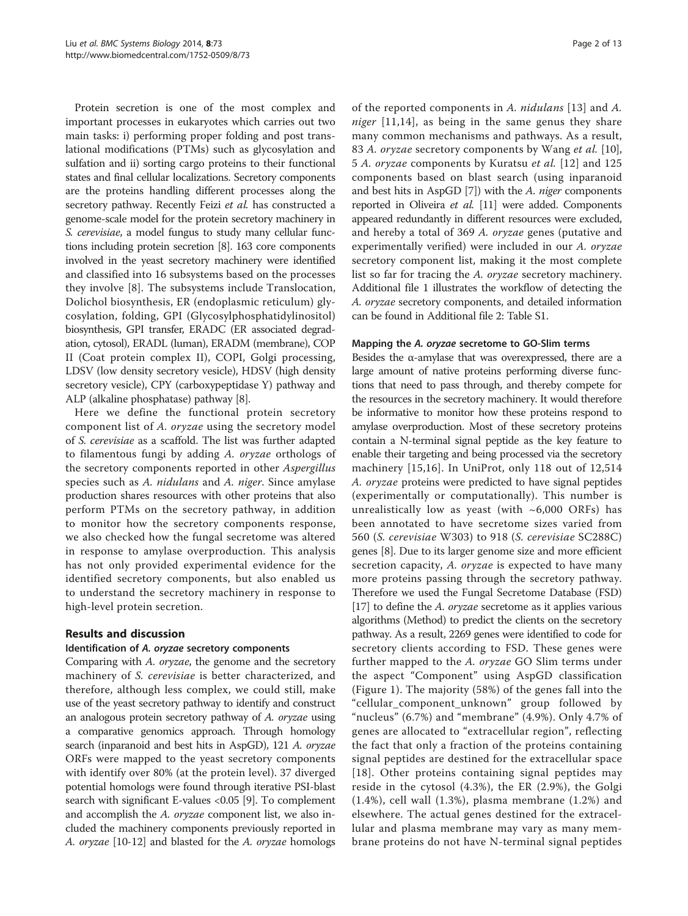Protein secretion is one of the most complex and important processes in eukaryotes which carries out two main tasks: i) performing proper folding and post translational modifications (PTMs) such as glycosylation and sulfation and ii) sorting cargo proteins to their functional states and final cellular localizations. Secretory components are the proteins handling different processes along the secretory pathway. Recently Feizi et al. has constructed a genome-scale model for the protein secretory machinery in S. cerevisiae, a model fungus to study many cellular functions including protein secretion [[8](#page-11-0)]. 163 core components involved in the yeast secretory machinery were identified and classified into 16 subsystems based on the processes they involve [[8\]](#page-11-0). The subsystems include Translocation, Dolichol biosynthesis, ER (endoplasmic reticulum) glycosylation, folding, GPI (Glycosylphosphatidylinositol) biosynthesis, GPI transfer, ERADC (ER associated degradation, cytosol), ERADL (luman), ERADM (membrane), COP II (Coat protein complex II), COPI, Golgi processing, LDSV (low density secretory vesicle), HDSV (high density secretory vesicle), CPY (carboxypeptidase Y) pathway and ALP (alkaline phosphatase) pathway [\[8\]](#page-11-0).

Here we define the functional protein secretory component list of A. oryzae using the secretory model of S. cerevisiae as a scaffold. The list was further adapted to filamentous fungi by adding A. oryzae orthologs of the secretory components reported in other Aspergillus species such as A. nidulans and A. niger. Since amylase production shares resources with other proteins that also perform PTMs on the secretory pathway, in addition to monitor how the secretory components response, we also checked how the fungal secretome was altered in response to amylase overproduction. This analysis has not only provided experimental evidence for the identified secretory components, but also enabled us to understand the secretory machinery in response to high-level protein secretion.

## Results and discussion

## Identification of A. oryzae secretory components

Comparing with A. oryzae, the genome and the secretory machinery of *S. cerevisiae* is better characterized, and therefore, although less complex, we could still, make use of the yeast secretory pathway to identify and construct an analogous protein secretory pathway of A. oryzae using a comparative genomics approach. Through homology search (inparanoid and best hits in AspGD), 121 A. oryzae ORFs were mapped to the yeast secretory components with identify over 80% (at the protein level). 37 diverged potential homologs were found through iterative PSI-blast search with significant E-values <0.05 [\[9](#page-11-0)]. To complement and accomplish the A. oryzae component list, we also included the machinery components previously reported in A. oryzae [[10-12\]](#page-11-0) and blasted for the A. oryzae homologs

of the reported components in A. nidulans [[13\]](#page-11-0) and A. *niger* [[11,14\]](#page-11-0), as being in the same genus they share many common mechanisms and pathways. As a result, 83 A. oryzae secretory components by Wang et al. [[10](#page-11-0)], 5 A. oryzae components by Kuratsu et al. [\[12](#page-11-0)] and 125 components based on blast search (using inparanoid and best hits in AspGD [[7](#page-11-0)]) with the A. niger components reported in Oliveira et al. [\[11](#page-11-0)] were added. Components appeared redundantly in different resources were excluded, and hereby a total of 369 A. oryzae genes (putative and experimentally verified) were included in our A. oryzae secretory component list, making it the most complete list so far for tracing the A. oryzae secretory machinery. Additional file [1](#page-10-0) illustrates the workflow of detecting the A. oryzae secretory components, and detailed information can be found in Additional file [2](#page-10-0): Table S1.

#### Mapping the A. oryzae secretome to GO-Slim terms

Besides the  $\alpha$ -amylase that was overexpressed, there are a large amount of native proteins performing diverse functions that need to pass through, and thereby compete for the resources in the secretory machinery. It would therefore be informative to monitor how these proteins respond to amylase overproduction. Most of these secretory proteins contain a N-terminal signal peptide as the key feature to enable their targeting and being processed via the secretory machinery [[15](#page-11-0),[16\]](#page-11-0). In UniProt, only 118 out of 12,514 A. oryzae proteins were predicted to have signal peptides (experimentally or computationally). This number is unrealistically low as yeast (with  $~6,000$  ORFs) has been annotated to have secretome sizes varied from 560 (S. cerevisiae W303) to 918 (S. cerevisiae SC288C) genes [[8\]](#page-11-0). Due to its larger genome size and more efficient secretion capacity, A. oryzae is expected to have many more proteins passing through the secretory pathway. Therefore we used the Fungal Secretome Database (FSD) [[17](#page-11-0)] to define the A. *oryzae* secretome as it applies various algorithms [\(Method](#page-9-0)) to predict the clients on the secretory pathway. As a result, 2269 genes were identified to code for secretory clients according to FSD. These genes were further mapped to the A. oryzae GO Slim terms under the aspect "Component" using AspGD classification (Figure [1\)](#page-2-0). The majority (58%) of the genes fall into the "cellular\_component\_unknown" group followed by "nucleus" (6.7%) and "membrane" (4.9%). Only 4.7% of genes are allocated to "extracellular region", reflecting the fact that only a fraction of the proteins containing signal peptides are destined for the extracellular space [[18](#page-11-0)]. Other proteins containing signal peptides may reside in the cytosol (4.3%), the ER (2.9%), the Golgi (1.4%), cell wall (1.3%), plasma membrane (1.2%) and elsewhere. The actual genes destined for the extracellular and plasma membrane may vary as many membrane proteins do not have N-terminal signal peptides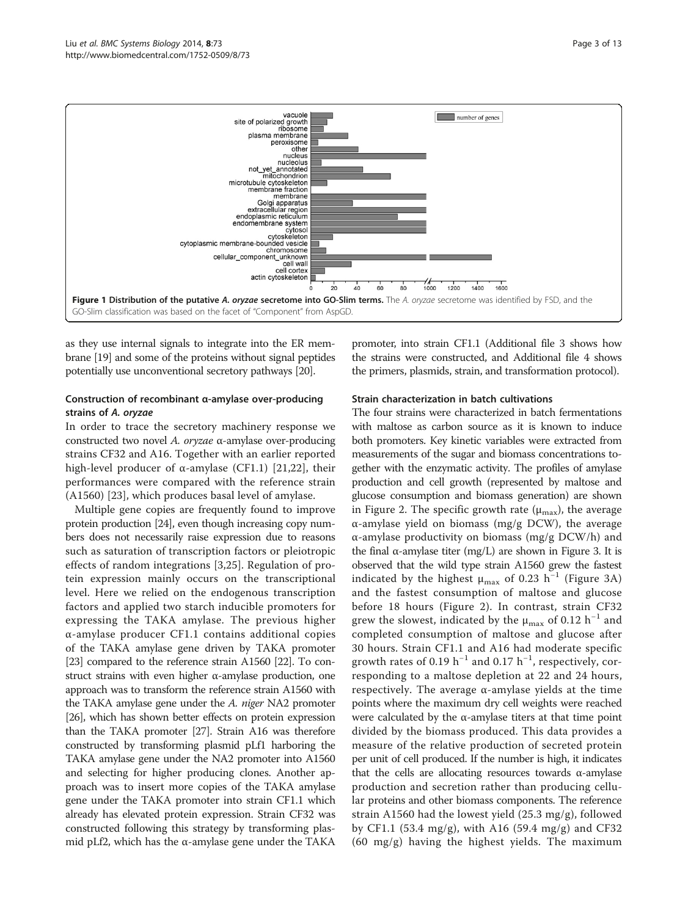<span id="page-2-0"></span>

as they use internal signals to integrate into the ER membrane [\[19\]](#page-11-0) and some of the proteins without signal peptides potentially use unconventional secretory pathways [[20](#page-11-0)].

## Construction of recombinant α-amylase over-producing strains of A. oryzae

In order to trace the secretory machinery response we constructed two novel A. oryzae α-amylase over-producing strains CF32 and A16. Together with an earlier reported high-level producer of  $\alpha$ -amylase (CF1.1) [\[21](#page-11-0),[22\]](#page-11-0), their performances were compared with the reference strain (A1560) [\[23](#page-11-0)], which produces basal level of amylase.

Multiple gene copies are frequently found to improve protein production [[24](#page-11-0)], even though increasing copy numbers does not necessarily raise expression due to reasons such as saturation of transcription factors or pleiotropic effects of random integrations [[3](#page-11-0),[25\]](#page-11-0). Regulation of protein expression mainly occurs on the transcriptional level. Here we relied on the endogenous transcription factors and applied two starch inducible promoters for expressing the TAKA amylase. The previous higher α-amylase producer CF1.1 contains additional copies of the TAKA amylase gene driven by TAKA promoter [[23](#page-11-0)] compared to the reference strain A1560 [\[22\]](#page-11-0). To construct strains with even higher α-amylase production, one approach was to transform the reference strain A1560 with the TAKA amylase gene under the A. niger NA2 promoter [[26](#page-11-0)], which has shown better effects on protein expression than the TAKA promoter [\[27\]](#page-11-0). Strain A16 was therefore constructed by transforming plasmid pLf1 harboring the TAKA amylase gene under the NA2 promoter into A1560 and selecting for higher producing clones. Another approach was to insert more copies of the TAKA amylase gene under the TAKA promoter into strain CF1.1 which already has elevated protein expression. Strain CF32 was constructed following this strategy by transforming plasmid pLf2, which has the α-amylase gene under the TAKA promoter, into strain CF1.1 (Additional file [3](#page-10-0) shows how the strains were constructed, and Additional file [4](#page-10-0) shows the primers, plasmids, strain, and transformation protocol).

## Strain characterization in batch cultivations

The four strains were characterized in batch fermentations with maltose as carbon source as it is known to induce both promoters. Key kinetic variables were extracted from measurements of the sugar and biomass concentrations together with the enzymatic activity. The profiles of amylase production and cell growth (represented by maltose and glucose consumption and biomass generation) are shown in Figure [2](#page-3-0). The specific growth rate ( $\mu_{\text{max}}$ ), the average α-amylase yield on biomass (mg/g DCW), the average α-amylase productivity on biomass (mg/g DCW/h) and the final α-amylase titer (mg/L) are shown in Figure [3](#page-3-0). It is observed that the wild type strain A1560 grew the fastest indicated by the highest  $\mu_{\text{max}}$  of 0.23 h<sup>-1</sup> (Figure [3](#page-3-0)A) and the fastest consumption of maltose and glucose before 18 hours (Figure [2\)](#page-3-0). In contrast, strain CF32 grew the slowest, indicated by the  $\mu_{\text{max}}$  of 0.12 h<sup>-1</sup> and completed consumption of maltose and glucose after 30 hours. Strain CF1.1 and A16 had moderate specific growth rates of 0.19  $h^{-1}$  and 0.17  $h^{-1}$ , respectively, corresponding to a maltose depletion at 22 and 24 hours, respectively. The average α-amylase yields at the time points where the maximum dry cell weights were reached were calculated by the  $\alpha$ -amylase titers at that time point divided by the biomass produced. This data provides a measure of the relative production of secreted protein per unit of cell produced. If the number is high, it indicates that the cells are allocating resources towards α-amylase production and secretion rather than producing cellular proteins and other biomass components. The reference strain A1560 had the lowest yield (25.3 mg/g), followed by CF1.1 (53.4 mg/g), with A16 (59.4 mg/g) and CF32 (60 mg/g) having the highest yields. The maximum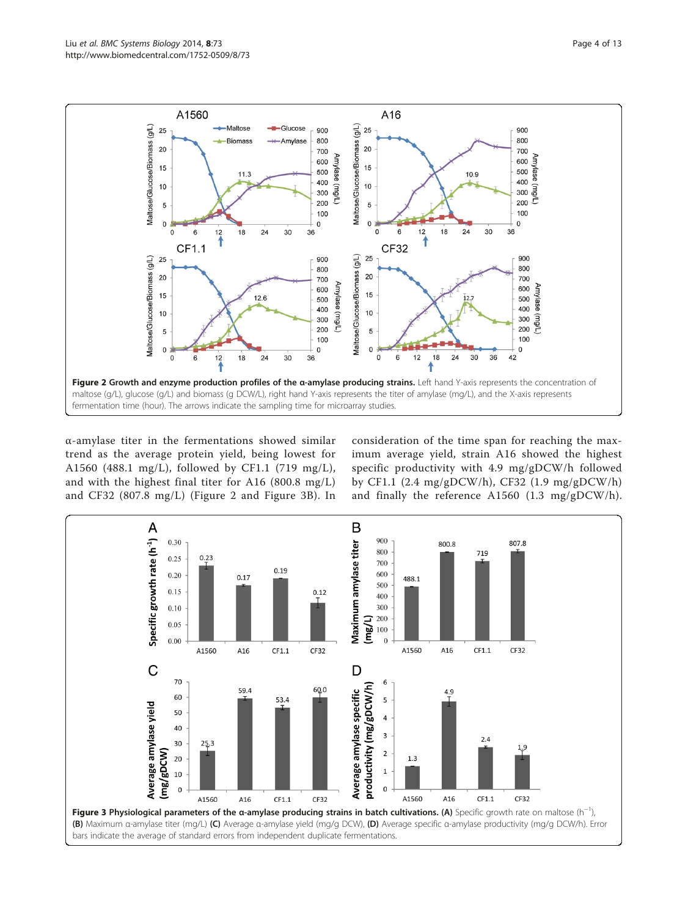<span id="page-3-0"></span>

α-amylase titer in the fermentations showed similar trend as the average protein yield, being lowest for A1560 (488.1 mg/L), followed by CF1.1 (719 mg/L), and with the highest final titer for A16 (800.8 mg/L) and CF32 (807.8 mg/L) (Figure 2 and Figure 3B). In

consideration of the time span for reaching the maximum average yield, strain A16 showed the highest specific productivity with 4.9 mg/gDCW/h followed by CF1.1 (2.4 mg/gDCW/h), CF32 (1.9 mg/gDCW/h) and finally the reference A1560 (1.3 mg/gDCW/h).

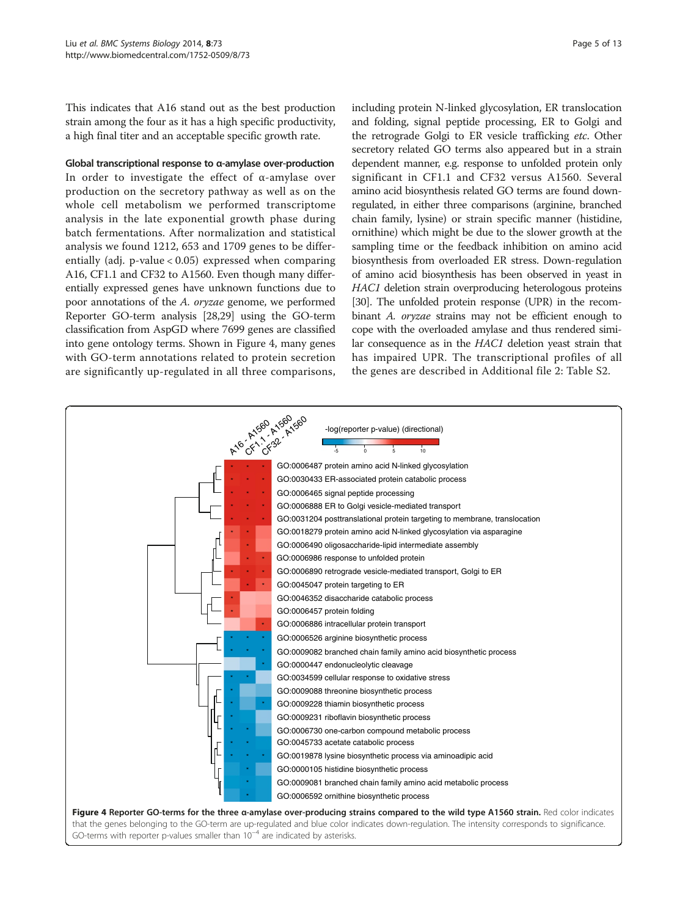<span id="page-4-0"></span>This indicates that A16 stand out as the best production strain among the four as it has a high specific productivity, a high final titer and an acceptable specific growth rate.

#### Global transcriptional response to α-amylase over-production

In order to investigate the effect of α-amylase over production on the secretory pathway as well as on the whole cell metabolism we performed transcriptome analysis in the late exponential growth phase during batch fermentations. After normalization and statistical analysis we found 1212, 653 and 1709 genes to be differentially (adj. p-value  $< 0.05$ ) expressed when comparing A16, CF1.1 and CF32 to A1560. Even though many differentially expressed genes have unknown functions due to poor annotations of the A. oryzae genome, we performed Reporter GO-term analysis [[28,29](#page-11-0)] using the GO-term classification from AspGD where 7699 genes are classified into gene ontology terms. Shown in Figure 4, many genes with GO-term annotations related to protein secretion are significantly up-regulated in all three comparisons,

including protein N-linked glycosylation, ER translocation and folding, signal peptide processing, ER to Golgi and the retrograde Golgi to ER vesicle trafficking etc. Other secretory related GO terms also appeared but in a strain dependent manner, e.g. response to unfolded protein only significant in CF1.1 and CF32 versus A1560. Several amino acid biosynthesis related GO terms are found downregulated, in either three comparisons (arginine, branched chain family, lysine) or strain specific manner (histidine, ornithine) which might be due to the slower growth at the sampling time or the feedback inhibition on amino acid biosynthesis from overloaded ER stress. Down-regulation of amino acid biosynthesis has been observed in yeast in HAC1 deletion strain overproducing heterologous proteins [[30](#page-11-0)]. The unfolded protein response (UPR) in the recombinant A. oryzae strains may not be efficient enough to cope with the overloaded amylase and thus rendered similar consequence as in the HAC1 deletion yeast strain that has impaired UPR. The transcriptional profiles of all the genes are described in Additional file [2:](#page-10-0) Table S2.

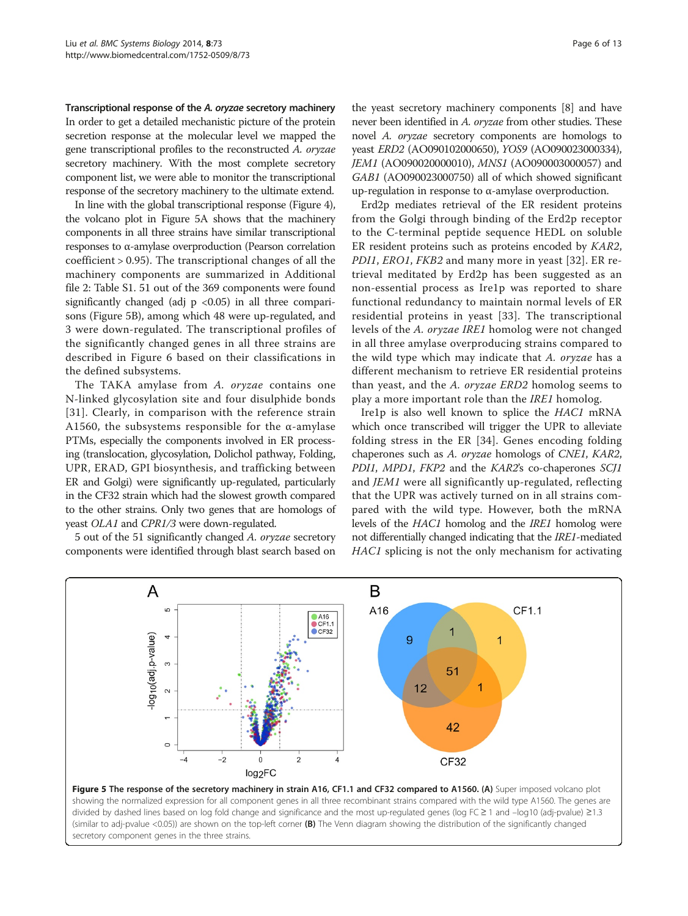Transcriptional response of the A. oryzae secretory machinery In order to get a detailed mechanistic picture of the protein secretion response at the molecular level we mapped the gene transcriptional profiles to the reconstructed A. oryzae secretory machinery. With the most complete secretory component list, we were able to monitor the transcriptional response of the secretory machinery to the ultimate extend.

In line with the global transcriptional response (Figure [4](#page-4-0)), the volcano plot in Figure 5A shows that the machinery components in all three strains have similar transcriptional responses to α-amylase overproduction (Pearson correlation coefficient > 0.95). The transcriptional changes of all the machinery components are summarized in Additional file [2](#page-10-0): Table S1. 51 out of the 369 components were found significantly changed (adj  $p \lt 0.05$ ) in all three comparisons (Figure 5B), among which 48 were up-regulated, and 3 were down-regulated. The transcriptional profiles of the significantly changed genes in all three strains are described in Figure [6](#page-6-0) based on their classifications in the defined subsystems.

The TAKA amylase from A. oryzae contains one N-linked glycosylation site and four disulphide bonds [[31](#page-11-0)]. Clearly, in comparison with the reference strain A1560, the subsystems responsible for the  $\alpha$ -amylase PTMs, especially the components involved in ER processing (translocation, glycosylation, Dolichol pathway, Folding, UPR, ERAD, GPI biosynthesis, and trafficking between ER and Golgi) were significantly up-regulated, particularly in the CF32 strain which had the slowest growth compared to the other strains. Only two genes that are homologs of yeast OLA1 and CPR1/3 were down-regulated.

5 out of the 51 significantly changed A. oryzae secretory components were identified through blast search based on

the yeast secretory machinery components [\[8](#page-11-0)] and have never been identified in A. oryzae from other studies. These novel A. oryzae secretory components are homologs to yeast ERD2 (AO090102000650), YOS9 (AO090023000334), JEM1 (AO090020000010), MNS1 (AO090003000057) and GAB1 (AO090023000750) all of which showed significant up-regulation in response to α-amylase overproduction.

Erd2p mediates retrieval of the ER resident proteins from the Golgi through binding of the Erd2p receptor to the C-terminal peptide sequence HEDL on soluble ER resident proteins such as proteins encoded by KAR2, PDI1, ERO1, FKB2 and many more in yeast [\[32\]](#page-11-0). ER retrieval meditated by Erd2p has been suggested as an non-essential process as Ire1p was reported to share functional redundancy to maintain normal levels of ER residential proteins in yeast [[33\]](#page-11-0). The transcriptional levels of the A. oryzae IRE1 homolog were not changed in all three amylase overproducing strains compared to the wild type which may indicate that A. oryzae has a different mechanism to retrieve ER residential proteins than yeast, and the A. oryzae ERD2 homolog seems to play a more important role than the IRE1 homolog.

Ire1p is also well known to splice the HAC1 mRNA which once transcribed will trigger the UPR to alleviate folding stress in the ER [[34\]](#page-11-0). Genes encoding folding chaperones such as A. oryzae homologs of CNE1, KAR2, PDI1, MPD1, FKP2 and the KAR2's co-chaperones SCJ1 and JEM1 were all significantly up-regulated, reflecting that the UPR was actively turned on in all strains compared with the wild type. However, both the mRNA levels of the HAC1 homolog and the IRE1 homolog were not differentially changed indicating that the IRE1-mediated HAC1 splicing is not the only mechanism for activating



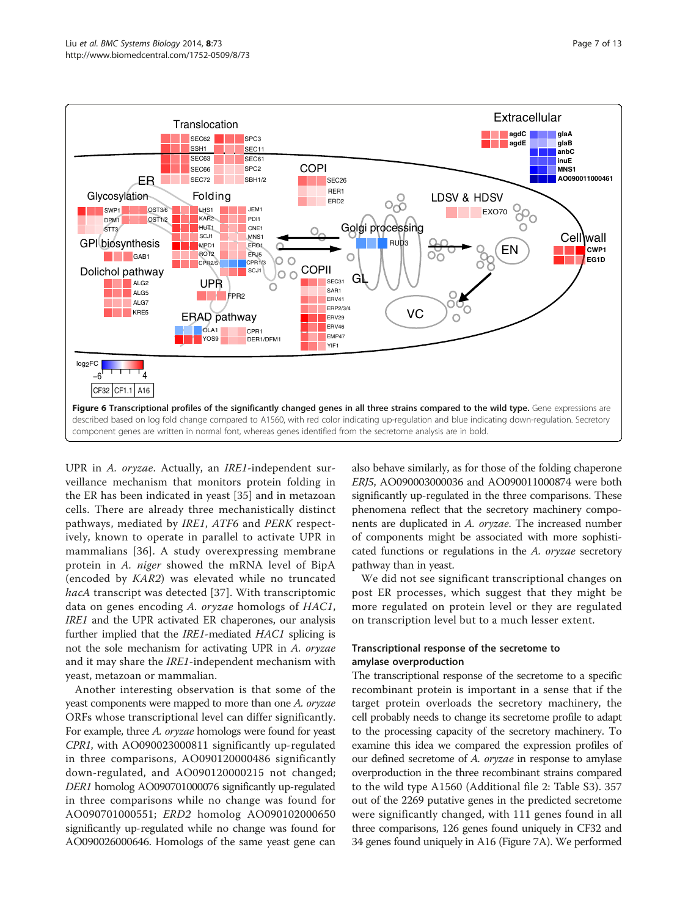<span id="page-6-0"></span>

UPR in A. oryzae. Actually, an IRE1-independent surveillance mechanism that monitors protein folding in the ER has been indicated in yeast [\[35](#page-11-0)] and in metazoan cells. There are already three mechanistically distinct pathways, mediated by IRE1, ATF6 and PERK respectively, known to operate in parallel to activate UPR in mammalians [\[36\]](#page-11-0). A study overexpressing membrane protein in A. niger showed the mRNA level of BipA (encoded by KAR2) was elevated while no truncated hacA transcript was detected [\[37\]](#page-11-0). With transcriptomic data on genes encoding A. oryzae homologs of HAC1, IRE1 and the UPR activated ER chaperones, our analysis further implied that the IRE1-mediated HAC1 splicing is not the sole mechanism for activating UPR in A. oryzae and it may share the IRE1-independent mechanism with yeast, metazoan or mammalian.

Another interesting observation is that some of the yeast components were mapped to more than one A. oryzae ORFs whose transcriptional level can differ significantly. For example, three A. oryzae homologs were found for yeast CPR1, with AO090023000811 significantly up-regulated in three comparisons, AO090120000486 significantly down-regulated, and AO090120000215 not changed; DER1 homolog AO090701000076 significantly up-regulated in three comparisons while no change was found for AO090701000551; ERD2 homolog AO090102000650 significantly up-regulated while no change was found for AO090026000646. Homologs of the same yeast gene can also behave similarly, as for those of the folding chaperone ERJ5, AO090003000036 and AO090011000874 were both significantly up-regulated in the three comparisons. These phenomena reflect that the secretory machinery components are duplicated in A. oryzae. The increased number of components might be associated with more sophisticated functions or regulations in the A. oryzae secretory pathway than in yeast.

We did not see significant transcriptional changes on post ER processes, which suggest that they might be more regulated on protein level or they are regulated on transcription level but to a much lesser extent.

## Transcriptional response of the secretome to amylase overproduction

The transcriptional response of the secretome to a specific recombinant protein is important in a sense that if the target protein overloads the secretory machinery, the cell probably needs to change its secretome profile to adapt to the processing capacity of the secretory machinery. To examine this idea we compared the expression profiles of our defined secretome of A. oryzae in response to amylase overproduction in the three recombinant strains compared to the wild type A1560 (Additional file [2](#page-10-0): Table S3). 357 out of the 2269 putative genes in the predicted secretome were significantly changed, with 111 genes found in all three comparisons, 126 genes found uniquely in CF32 and 34 genes found uniquely in A16 (Figure [7A](#page-7-0)). We performed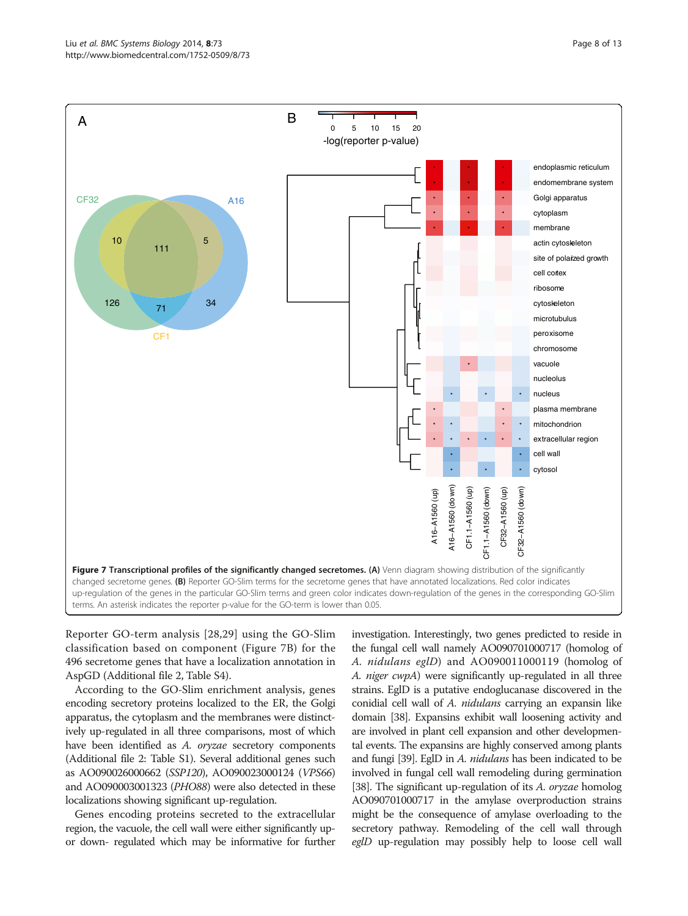<span id="page-7-0"></span>

Reporter GO-term analysis [[28](#page-11-0),[29\]](#page-11-0) using the GO-Slim classification based on component (Figure 7B) for the 496 secretome genes that have a localization annotation in AspGD (Additional file [2,](#page-10-0) Table S4).

According to the GO-Slim enrichment analysis, genes encoding secretory proteins localized to the ER, the Golgi apparatus, the cytoplasm and the membranes were distinctively up-regulated in all three comparisons, most of which have been identified as A. oryzae secretory components (Additional file [2:](#page-10-0) Table S1). Several additional genes such as AO090026000662 (SSP120), AO090023000124 (VPS66) and AO090003001323 (PHO88) were also detected in these localizations showing significant up-regulation.

Genes encoding proteins secreted to the extracellular region, the vacuole, the cell wall were either significantly upor down- regulated which may be informative for further

investigation. Interestingly, two genes predicted to reside in the fungal cell wall namely AO090701000717 (homolog of A. nidulans eglD) and AO090011000119 (homolog of A. niger cwpA) were significantly up-regulated in all three strains. EglD is a putative endoglucanase discovered in the conidial cell wall of A. *nidulans* carrying an expansin like domain [\[38](#page-11-0)]. Expansins exhibit wall loosening activity and are involved in plant cell expansion and other developmental events. The expansins are highly conserved among plants and fungi [\[39](#page-11-0)]. EglD in A. *nidulans* has been indicated to be involved in fungal cell wall remodeling during germination [[38](#page-11-0)]. The significant up-regulation of its A. oryzae homolog AO090701000717 in the amylase overproduction strains might be the consequence of amylase overloading to the secretory pathway. Remodeling of the cell wall through  $\frac{2}{3}$  and  $\frac{2}{3}$  and  $\frac{2}{3}$  and  $\frac{2}{3}$  and  $\frac{2}{3}$  and  $\frac{2}{3}$  and  $\frac{2}{3}$  and  $\frac{2}{3}$  and  $\frac{2}{3}$  and  $\frac{2}{3}$  and  $\frac{2}{3}$  and  $\frac{2}{3}$  and  $\frac{2}{3}$  and  $\frac{2}{3}$  and  $\frac{2}{3}$  and  $\frac{2}{3}$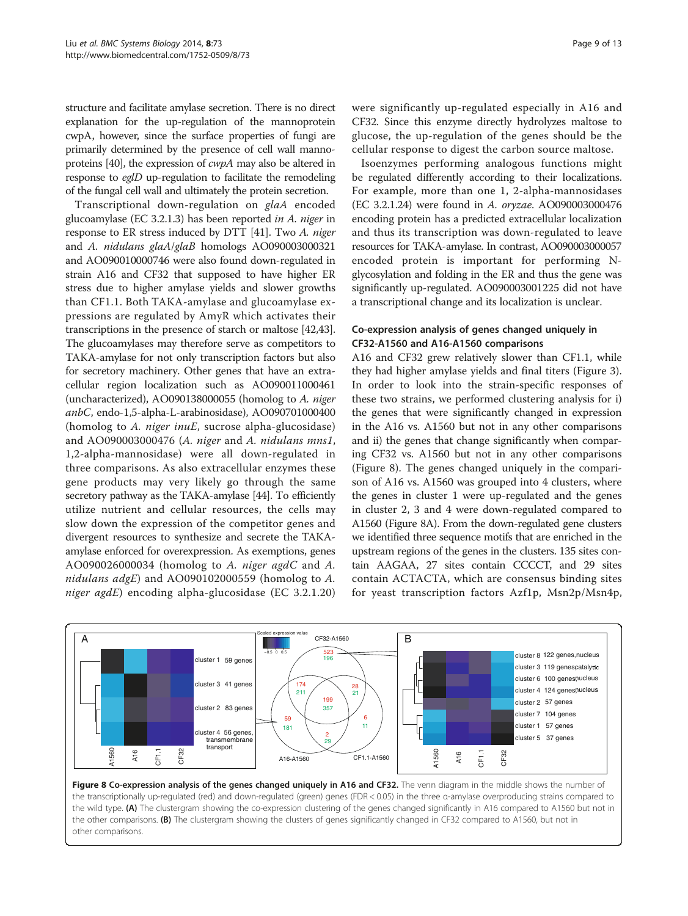<span id="page-8-0"></span>structure and facilitate amylase secretion. There is no direct explanation for the up-regulation of the mannoprotein cwpA, however, since the surface properties of fungi are primarily determined by the presence of cell wall mannoproteins [\[40\]](#page-11-0), the expression of cwpA may also be altered in response to eglD up-regulation to facilitate the remodeling of the fungal cell wall and ultimately the protein secretion.

Transcriptional down-regulation on glaA encoded glucoamylase (EC 3.2.1.3) has been reported in A. niger in response to ER stress induced by DTT [[41\]](#page-11-0). Two A. niger and A. nidulans glaA/glaB homologs AO090003000321 and AO090010000746 were also found down-regulated in strain A16 and CF32 that supposed to have higher ER stress due to higher amylase yields and slower growths than CF1.1. Both TAKA-amylase and glucoamylase expressions are regulated by AmyR which activates their transcriptions in the presence of starch or maltose [\[42,](#page-11-0)[43](#page-12-0)]. The glucoamylases may therefore serve as competitors to TAKA-amylase for not only transcription factors but also for secretory machinery. Other genes that have an extracellular region localization such as AO090011000461 (uncharacterized), AO090138000055 (homolog to A. niger anbC, endo-1,5-alpha-L-arabinosidase), AO090701000400 (homolog to A. niger inuE, sucrose alpha-glucosidase) and AO090003000476 (A. niger and A. nidulans mns1, 1,2-alpha-mannosidase) were all down-regulated in three comparisons. As also extracellular enzymes these gene products may very likely go through the same secretory pathway as the TAKA-amylase [\[44\]](#page-12-0). To efficiently utilize nutrient and cellular resources, the cells may slow down the expression of the competitor genes and divergent resources to synthesize and secrete the TAKAamylase enforced for overexpression. As exemptions, genes AO090026000034 (homolog to A. niger  $agdC$  and A. nidulans adgE) and AO090102000559 (homolog to A. niger agdE) encoding alpha-glucosidase (EC 3.2.1.20)

were significantly up-regulated especially in A16 and CF32. Since this enzyme directly hydrolyzes maltose to glucose, the up-regulation of the genes should be the cellular response to digest the carbon source maltose.

Isoenzymes performing analogous functions might be regulated differently according to their localizations. For example, more than one 1, 2-alpha-mannosidases (EC 3.2.1.24) were found in A. oryzae. AO090003000476 encoding protein has a predicted extracellular localization and thus its transcription was down-regulated to leave resources for TAKA-amylase. In contrast, AO090003000057 encoded protein is important for performing Nglycosylation and folding in the ER and thus the gene was significantly up-regulated. AO090003001225 did not have a transcriptional change and its localization is unclear.

## Co-expression analysis of genes changed uniquely in CF32-A1560 and A16-A1560 comparisons

A16 and CF32 grew relatively slower than CF1.1, while they had higher amylase yields and final titers (Figure [3](#page-3-0)). In order to look into the strain-specific responses of these two strains, we performed clustering analysis for i) the genes that were significantly changed in expression in the A16 vs. A1560 but not in any other comparisons and ii) the genes that change significantly when comparing CF32 vs. A1560 but not in any other comparisons (Figure 8). The genes changed uniquely in the comparison of A16 vs. A1560 was grouped into 4 clusters, where the genes in cluster 1 were up-regulated and the genes in cluster 2, 3 and 4 were down-regulated compared to A1560 (Figure 8A). From the down-regulated gene clusters we identified three sequence motifs that are enriched in the upstream regions of the genes in the clusters. 135 sites contain AAGAA, 27 sites contain CCCCT, and 29 sites contain ACTACTA, which are consensus binding sites for yeast transcription factors Azf1p, Msn2p/Msn4p,



Figure 8 Co-expression analysis of the genes changed uniquely in A16 and CF32. The venn diagram in the middle shows the number of the transcriptionally up-regulated (red) and down-regulated (green) genes (FDR < 0.05) in the three α-amylase overproducing strains compared to the wild type. (A) The clustergram showing the co-expression clustering of the genes changed significantly in A16 compared to A1560 but not in the other comparisons. (B) The clustergram showing the clusters of genes significantly changed in CF32 compared to A1560, but not in other comparisons.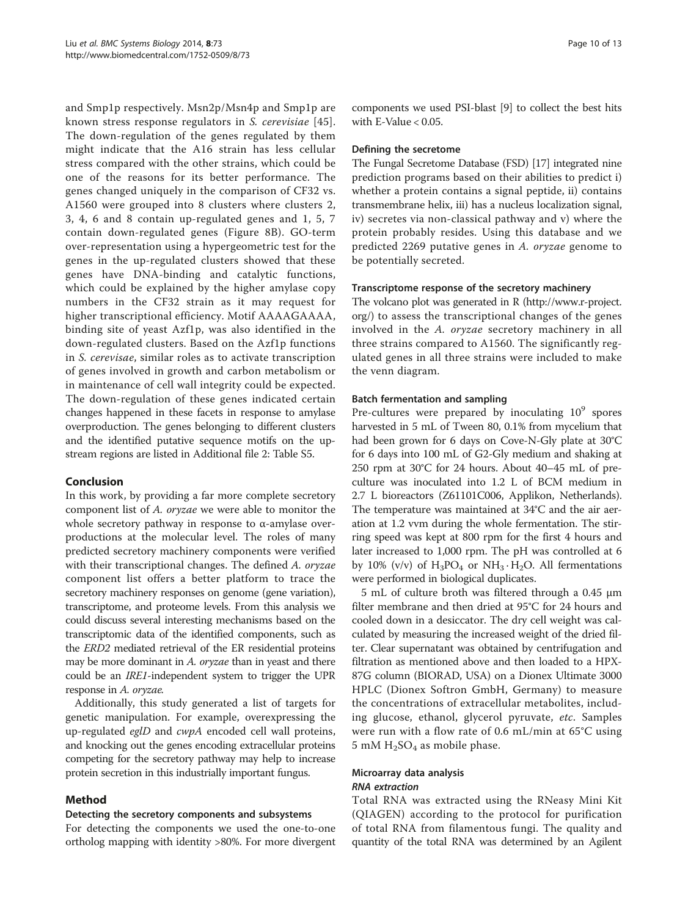<span id="page-9-0"></span>and Smp1p respectively. Msn2p/Msn4p and Smp1p are known stress response regulators in S. cerevisiae [[45](#page-12-0)]. The down-regulation of the genes regulated by them might indicate that the A16 strain has less cellular stress compared with the other strains, which could be one of the reasons for its better performance. The genes changed uniquely in the comparison of CF32 vs. A1560 were grouped into 8 clusters where clusters 2, 3, 4, 6 and 8 contain up-regulated genes and 1, 5, 7 contain down-regulated genes (Figure [8B](#page-8-0)). GO-term over-representation using a hypergeometric test for the genes in the up-regulated clusters showed that these genes have DNA-binding and catalytic functions, which could be explained by the higher amylase copy numbers in the CF32 strain as it may request for higher transcriptional efficiency. Motif AAAAGAAAA, binding site of yeast Azf1p, was also identified in the down-regulated clusters. Based on the Azf1p functions in S. cerevisae, similar roles as to activate transcription of genes involved in growth and carbon metabolism or in maintenance of cell wall integrity could be expected. The down-regulation of these genes indicated certain changes happened in these facets in response to amylase overproduction. The genes belonging to different clusters and the identified putative sequence motifs on the upstream regions are listed in Additional file [2:](#page-10-0) Table S5.

## Conclusion

In this work, by providing a far more complete secretory component list of A. oryzae we were able to monitor the whole secretory pathway in response to  $\alpha$ -amylase overproductions at the molecular level. The roles of many predicted secretory machinery components were verified with their transcriptional changes. The defined A. oryzae component list offers a better platform to trace the secretory machinery responses on genome (gene variation), transcriptome, and proteome levels. From this analysis we could discuss several interesting mechanisms based on the transcriptomic data of the identified components, such as the ERD2 mediated retrieval of the ER residential proteins may be more dominant in A. oryzae than in yeast and there could be an IRE1-independent system to trigger the UPR response in A. oryzae.

Additionally, this study generated a list of targets for genetic manipulation. For example, overexpressing the up-regulated *eglD* and *cwpA* encoded cell wall proteins, and knocking out the genes encoding extracellular proteins competing for the secretory pathway may help to increase protein secretion in this industrially important fungus.

## Method

#### Detecting the secretory components and subsystems

For detecting the components we used the one-to-one ortholog mapping with identity >80%. For more divergent

components we used PSI-blast [\[9\]](#page-11-0) to collect the best hits with E-Value < 0.05.

#### Defining the secretome

The Fungal Secretome Database (FSD) [[17](#page-11-0)] integrated nine prediction programs based on their abilities to predict i) whether a protein contains a signal peptide, ii) contains transmembrane helix, iii) has a nucleus localization signal, iv) secretes via non-classical pathway and v) where the protein probably resides. Using this database and we predicted 2269 putative genes in A. oryzae genome to be potentially secreted.

## Transcriptome response of the secretory machinery

The volcano plot was generated in R ([http://www.r-project.](http://www.r-project.org/) [org/](http://www.r-project.org/)) to assess the transcriptional changes of the genes involved in the A. oryzae secretory machinery in all three strains compared to A1560. The significantly regulated genes in all three strains were included to make the venn diagram.

## Batch fermentation and sampling

Pre-cultures were prepared by inoculating  $10^9$  spores harvested in 5 mL of Tween 80, 0.1% from mycelium that had been grown for 6 days on Cove-N-Gly plate at 30°C for 6 days into 100 mL of G2-Gly medium and shaking at 250 rpm at 30°C for 24 hours. About 40–45 mL of preculture was inoculated into 1.2 L of BCM medium in 2.7 L bioreactors (Z61101C006, Applikon, Netherlands). The temperature was maintained at 34°C and the air aeration at 1.2 vvm during the whole fermentation. The stirring speed was kept at 800 rpm for the first 4 hours and later increased to 1,000 rpm. The pH was controlled at 6 by 10% (v/v) of  $H_3PO_4$  or  $NH_3 \cdot H_2O$ . All fermentations were performed in biological duplicates.

5 mL of culture broth was filtered through a 0.45 μm filter membrane and then dried at 95°C for 24 hours and cooled down in a desiccator. The dry cell weight was calculated by measuring the increased weight of the dried filter. Clear supernatant was obtained by centrifugation and filtration as mentioned above and then loaded to a HPX-87G column (BIORAD, USA) on a Dionex Ultimate 3000 HPLC (Dionex Softron GmbH, Germany) to measure the concentrations of extracellular metabolites, including glucose, ethanol, glycerol pyruvate, etc. Samples were run with a flow rate of 0.6 mL/min at 65°C using 5 mM  $H<sub>2</sub>SO<sub>4</sub>$  as mobile phase.

## Microarray data analysis RNA extraction

Total RNA was extracted using the RNeasy Mini Kit (QIAGEN) according to the protocol for purification of total RNA from filamentous fungi. The quality and quantity of the total RNA was determined by an Agilent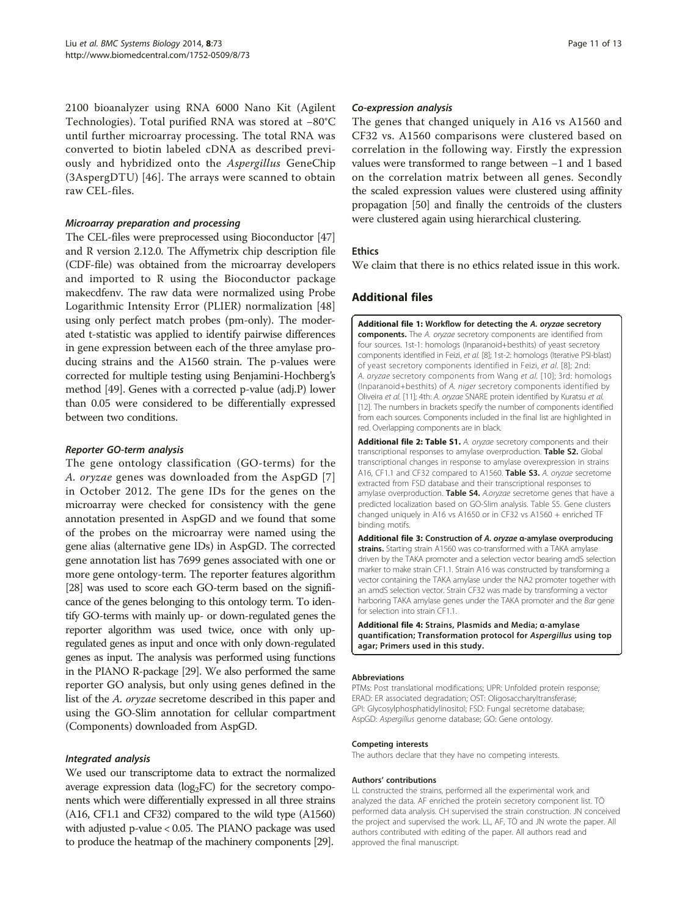<span id="page-10-0"></span>2100 bioanalyzer using RNA 6000 Nano Kit (Agilent Technologies). Total purified RNA was stored at −80°C until further microarray processing. The total RNA was converted to biotin labeled cDNA as described previously and hybridized onto the Aspergillus GeneChip (3AspergDTU) [[46](#page-12-0)]. The arrays were scanned to obtain raw CEL-files.

#### Microarray preparation and processing

The CEL-files were preprocessed using Bioconductor [[47](#page-12-0)] and R version 2.12.0. The Affymetrix chip description file (CDF-file) was obtained from the microarray developers and imported to R using the Bioconductor package makecdfenv. The raw data were normalized using Probe Logarithmic Intensity Error (PLIER) normalization [\[48](#page-12-0)] using only perfect match probes (pm-only). The moderated t-statistic was applied to identify pairwise differences in gene expression between each of the three amylase producing strains and the A1560 strain. The p-values were corrected for multiple testing using Benjamini-Hochberg's method [[49](#page-12-0)]. Genes with a corrected p-value (adj.P) lower than 0.05 were considered to be differentially expressed between two conditions.

#### Reporter GO-term analysis

The gene ontology classification (GO-terms) for the A. oryzae genes was downloaded from the AspGD [[7](#page-11-0)] in October 2012. The gene IDs for the genes on the microarray were checked for consistency with the gene annotation presented in AspGD and we found that some of the probes on the microarray were named using the gene alias (alternative gene IDs) in AspGD. The corrected gene annotation list has 7699 genes associated with one or more gene ontology-term. The reporter features algorithm [[28\]](#page-11-0) was used to score each GO-term based on the significance of the genes belonging to this ontology term. To identify GO-terms with mainly up- or down-regulated genes the reporter algorithm was used twice, once with only upregulated genes as input and once with only down-regulated genes as input. The analysis was performed using functions in the PIANO R-package [\[29\]](#page-11-0). We also performed the same reporter GO analysis, but only using genes defined in the list of the A. oryzae secretome described in this paper and using the GO-Slim annotation for cellular compartment (Components) downloaded from AspGD.

#### Integrated analysis

We used our transcriptome data to extract the normalized average expression data ( $log_2FC$ ) for the secretory components which were differentially expressed in all three strains (A16, CF1.1 and CF32) compared to the wild type (A1560) with adjusted p-value < 0.05. The PIANO package was used to produce the heatmap of the machinery components [\[29\]](#page-11-0).

#### Co-expression analysis

The genes that changed uniquely in A16 vs A1560 and CF32 vs. A1560 comparisons were clustered based on correlation in the following way. Firstly the expression values were transformed to range between −1 and 1 based on the correlation matrix between all genes. Secondly the scaled expression values were clustered using affinity propagation [[50](#page-12-0)] and finally the centroids of the clusters were clustered again using hierarchical clustering.

#### Ethics

We claim that there is no ethics related issue in this work.

## Additional files

[Additional file 1:](http://www.biomedcentral.com/content/supplementary/1752-0509-8-73-S1.tiff) Workflow for detecting the A. oryzae secretory components. The A. oryzae secretory components are identified from four sources. 1st-1: homologs (Inparanoid+besthits) of yeast secretory components identified in Feizi, et al. [\[8\]](#page-11-0); 1st-2: homologs (Iterative PSI-blast) of yeast secretory components identified in Feizi, et al. [[8\]](#page-11-0); 2nd: A. oryzae secretory components from Wang et al. [\[10\]](#page-11-0); 3rd: homologs (Inparanoid+besthits) of A. niger secretory components identified by Oliveira et al. [[11\]](#page-11-0); 4th: A. oryzae SNARE protein identified by Kuratsu et al. [[12\]](#page-11-0). The numbers in brackets specify the number of components identified from each sources. Components included in the final list are highlighted in red. Overlapping components are in black.

[Additional file 2: Table S1.](http://www.biomedcentral.com/content/supplementary/1752-0509-8-73-S2.xls) A. oryzae secretory components and their transcriptional responses to amylase overproduction. Table S2. Global transcriptional changes in response to amylase overexpression in strains A16, CF1.1 and CF32 compared to A1560. Table S3. A. oryzae secretome extracted from FSD database and their transcriptional responses to amylase overproduction. Table S4. A.oryzae secretome genes that have a predicted localization based on GO-Slim analysis. Table S5. Gene clusters changed uniquely in A16 vs A1650 or in CF32 vs A1560 + enriched TF binding motifs.

[Additional file 3:](http://www.biomedcentral.com/content/supplementary/1752-0509-8-73-S3.tiff) Construction of A. oryzae α-amylase overproducing strains. Starting strain A1560 was co-transformed with a TAKA amylase driven by the TAKA promoter and a selection vector bearing amdS selection marker to make strain CF1.1. Strain A16 was constructed by transforming a vector containing the TAKA amylase under the NA2 promoter together with an amdS selection vector. Strain CF32 was made by transforming a vector harboring TAKA amylase genes under the TAKA promoter and the Bar gene for selection into strain CF1.1.

[Additional file 4:](http://www.biomedcentral.com/content/supplementary/1752-0509-8-73-S4.doc) Strains, Plasmids and Media; α-amylase quantification; Transformation protocol for Aspergillus using top agar; Primers used in this study.

#### Abbreviations

PTMs: Post translational modifications; UPR: Unfolded protein response; ERAD: ER associated degradation; OST: Oligosaccharyltransferase; GPI: Glycosylphosphatidylinositol; FSD: Fungal secretome database; AspGD: Aspergillus genome database; GO: Gene ontology.

#### Competing interests

The authors declare that they have no competing interests.

#### Authors' contributions

LL constructed the strains, performed all the experimental work and analyzed the data. AF enriched the protein secretory component list. TÖ performed data analysis. CH supervised the strain construction. JN conceived the project and supervised the work. LL, AF, TÖ and JN wrote the paper. All authors contributed with editing of the paper. All authors read and approved the final manuscript.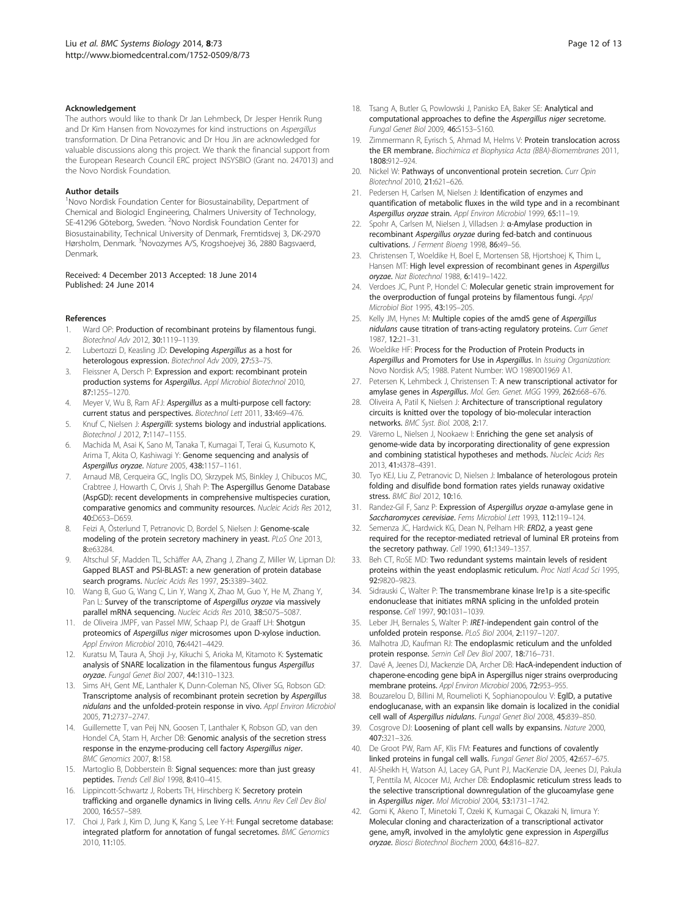#### <span id="page-11-0"></span>Acknowledgement

The authors would like to thank Dr Jan Lehmbeck, Dr Jesper Henrik Rung and Dr Kim Hansen from Novozymes for kind instructions on Aspergillus transformation. Dr Dina Petranovic and Dr Hou Jin are acknowledged for valuable discussions along this project. We thank the financial support from the European Research Council ERC project INSYSBIO (Grant no. 247013) and the Novo Nordisk Foundation.

#### Author details

<sup>1</sup>Novo Nordisk Foundation Center for Biosustainability, Department of Chemical and Biologicl Engineering, Chalmers University of Technology, SE-41296 Göteborg, Sweden. <sup>2</sup>Novo Nordisk Foundation Center for Biosustainability, Technical University of Denmark, Fremtidsvej 3, DK-2970 Hørsholm, Denmark. <sup>3</sup>Novozymes A/S, Krogshoejvej 36, 2880 Bagsvaerd, Denmark.

#### Received: 4 December 2013 Accepted: 18 June 2014 Published: 24 June 2014

#### References

- Ward OP: Production of recombinant proteins by filamentous fungi. Biotechnol Adv 2012, 30:1119–1139.
- Lubertozzi D, Keasling JD: Developing Aspergillus as a host for heterologous expression. Biotechnol Adv 2009, 27:53–75.
- 3. Fleissner A, Dersch P: Expression and export: recombinant protein production systems for Aspergillus. Appl Microbiol Biotechnol 2010, 87:1255–1270.
- 4. Meyer V, Wu B, Ram AFJ: Aspergillus as a multi-purpose cell factory: current status and perspectives. Biotechnol Lett 2011, 33:469-476.
- Knuf C, Nielsen J: Aspergilli: systems biology and industrial applications. Biotechnol J 2012, 7:1147–1155.
- 6. Machida M, Asai K, Sano M, Tanaka T, Kumagai T, Terai G, Kusumoto K, Arima T, Akita O, Kashiwagi Y: Genome sequencing and analysis of Aspergillus oryzae. Nature 2005, 438:1157–1161.
- 7. Arnaud MB, Cerqueira GC, Inglis DO, Skrzypek MS, Binkley J, Chibucos MC, Crabtree J, Howarth C, Orvis J, Shah P: The Aspergillus Genome Database (AspGD): recent developments in comprehensive multispecies curation, comparative genomics and community resources. Nucleic Acids Res 2012, 40:D653–D659.
- 8. Feizi A, Österlund T, Petranovic D, Bordel S, Nielsen J: Genome-scale modeling of the protein secretory machinery in yeast. PLoS One 2013, 8:e63284.
- 9. Altschul SF, Madden TL, Schäffer AA, Zhang J, Zhang Z, Miller W, Lipman DJ: Gapped BLAST and PSI-BLAST: a new generation of protein database search programs. Nucleic Acids Res 1997, 25:3389–3402.
- 10. Wang B, Guo G, Wang C, Lin Y, Wang X, Zhao M, Guo Y, He M, Zhang Y, Pan L: Survey of the transcriptome of Aspergillus oryzae via massively parallel mRNA sequencing. Nucleic Acids Res 2010, 38:5075–5087.
- 11. de Oliveira JMPF, van Passel MW, Schaap PJ, de Graaff LH: Shotgun proteomics of Aspergillus niger microsomes upon D-xylose induction. Appl Environ Microbiol 2010, 76:4421-4429.
- 12. Kuratsu M, Taura A, Shoji J-y, Kikuchi S, Arioka M, Kitamoto K: Systematic analysis of SNARE localization in the filamentous fungus Aspergillus oryzae. Fungal Genet Biol 2007, 44:1310–1323.
- 13. Sims AH, Gent ME, Lanthaler K, Dunn-Coleman NS, Oliver SG, Robson GD: Transcriptome analysis of recombinant protein secretion by Aspergillus nidulans and the unfolded-protein response in vivo. Appl Environ Microbiol 2005, 71:2737–2747.
- 14. Guillemette T, van Peij NN, Goosen T, Lanthaler K, Robson GD, van den Hondel CA, Stam H, Archer DB: Genomic analysis of the secretion stress response in the enzyme-producing cell factory Aspergillus niger. BMC Genomics 2007, 8:158.
- 15. Martoglio B, Dobberstein B: Signal sequences: more than just greasy peptides. Trends Cell Biol 1998, 8:410–415.
- 16. Lippincott-Schwartz J, Roberts TH, Hirschberg K: Secretory protein trafficking and organelle dynamics in living cells. Annu Rev Cell Dev Biol 2000, 16:557–589.
- 17. Choi J, Park J, Kim D, Jung K, Kang S, Lee Y-H: Fungal secretome database: integrated platform for annotation of fungal secretomes. BMC Genomics 2010, 11:105.
- 18. Tsang A, Butler G, Powlowski J, Panisko EA, Baker SE: Analytical and computational approaches to define the Aspergillus niger secretome. Fungal Genet Biol 2009, 46:S153–S160.
- 19. Zimmermann R, Eyrisch S, Ahmad M, Helms V: Protein translocation across the ER membrane. Biochimica et Biophysica Acta (BBA)-Biomembranes 2011, 1808:912–924.
- 20. Nickel W: Pathways of unconventional protein secretion. Curr Opin Biotechnol 2010, 21:621–626.
- 21. Pedersen H, Carlsen M, Nielsen J: Identification of enzymes and quantification of metabolic fluxes in the wild type and in a recombinant Aspergillus oryzae strain. Appl Environ Microbiol 1999, 65:11–19.
- 22. Spohr A, Carlsen M, Nielsen J, Villadsen J: α-Amylase production in recombinant Aspergillus oryzae during fed-batch and continuous cultivations. J Ferment Bioeng 1998, 86:49–56.
- 23. Christensen T, Woeldike H, Boel E, Mortensen SB, Hjortshoej K, Thim L, Hansen MT: High level expression of recombinant genes in Aspergillus oryzae. Nat Biotechnol 1988, 6:1419–1422.
- 24. Verdoes JC, Punt P, Hondel C: Molecular genetic strain improvement for the overproduction of fungal proteins by filamentous fungi. Appl Microbiol Biot 1995, 43:195–205.
- 25. Kelly JM, Hynes M: Multiple copies of the amdS gene of Aspergillus nidulans cause titration of trans-acting regulatory proteins. Curr Genet 1987, 12:21–31.
- 26. Woeldike HF: Process for the Production of Protein Products in Aspergillus and Promoters for Use in Aspergillus. In Issuing Organization: Novo Nordisk A/S; 1988. Patent Number: WO 1989001969 A1.
- 27. Petersen K, Lehmbeck J, Christensen T: A new transcriptional activator for amylase genes in Aspergillus. Mol. Gen. Genet. MGG 1999, 262:668–676.
- 28. Oliveira A, Patil K, Nielsen J: Architecture of transcriptional regulatory circuits is knitted over the topology of bio-molecular interaction networks. BMC Syst. Biol. 2008, 2:17.
- 29. Väremo L, Nielsen J, Nookaew I: Enriching the gene set analysis of genome-wide data by incorporating directionality of gene expression and combining statistical hypotheses and methods. Nucleic Acids Res 2013, 41:4378–4391.
- 30. Tyo KEJ, Liu Z, Petranovic D, Nielsen J: Imbalance of heterologous protein folding and disulfide bond formation rates yields runaway oxidative stress. BMC Biol 2012, 10:16.
- 31. Randez-Gil F, Sanz P: Expression of Aspergillus oryzae α-amylase gene in Saccharomyces cerevisiae. Fems Microbiol Lett 1993, 112:119–124.
- 32. Semenza JC, Hardwick KG, Dean N, Pelham HR: ERD2, a yeast gene required for the receptor-mediated retrieval of luminal ER proteins from the secretory pathway. Cell 1990, 61:1349–1357.
- 33. Beh CT, RoSE MD: Two redundant systems maintain levels of resident proteins within the yeast endoplasmic reticulum. Proc Natl Acad Sci 1995, 92:9820–9823.
- 34. Sidrauski C, Walter P: The transmembrane kinase Ire1p is a site-specific endonuclease that initiates mRNA splicing in the unfolded protein response. Cell 1997, 90:1031–1039.
- Leber JH, Bernales S, Walter P: IRE1-independent gain control of the unfolded protein response. PLoS Biol 2004, 2:1197–1207.
- 36. Malhotra JD, Kaufman RJ: The endoplasmic reticulum and the unfolded protein response. Semin Cell Dev Biol 2007, 18:716–731.
- 37. Davé A, Jeenes DJ, Mackenzie DA, Archer DB: HacA-independent induction of chaperone-encoding gene bipA in Aspergillus niger strains overproducing membrane proteins. Appl Environ Microbiol 2006, 72:953–955.
- Bouzarelou D, Billini M, Roumelioti K, Sophianopoulou V: EglD, a putative endoglucanase, with an expansin like domain is localized in the conidial cell wall of Aspergillus nidulans. Fungal Genet Biol 2008, 45:839–850.
- 39. Cosgrove DJ: Loosening of plant cell walls by expansins. Nature 2000, 407:321–326.
- 40. De Groot PW, Ram AF, Klis FM: Features and functions of covalently linked proteins in fungal cell walls. Fungal Genet Biol 2005, 42:657–675.
- 41. Al-Sheikh H, Watson AJ, Lacey GA, Punt PJ, MacKenzie DA, Jeenes DJ, Pakula T, Penttila M, Alcocer MJ, Archer DB: Endoplasmic reticulum stress leads to the selective transcriptional downregulation of the glucoamylase gene in Aspergillus niger. Mol Microbiol 2004, 53:1731–1742.
- 42. Gomi K, Akeno T, Minetoki T, Ozeki K, Kumagai C, Okazaki N, Iimura Y: Molecular cloning and characterization of a transcriptional activator gene, amyR, involved in the amylolytic gene expression in Aspergillus oryzae. Biosci Biotechnol Biochem 2000, 64:816–827.